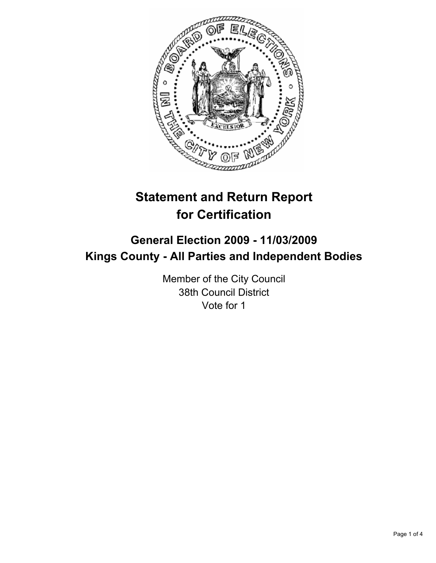

# **Statement and Return Report for Certification**

# **General Election 2009 - 11/03/2009 Kings County - All Parties and Independent Bodies**

Member of the City Council 38th Council District Vote for 1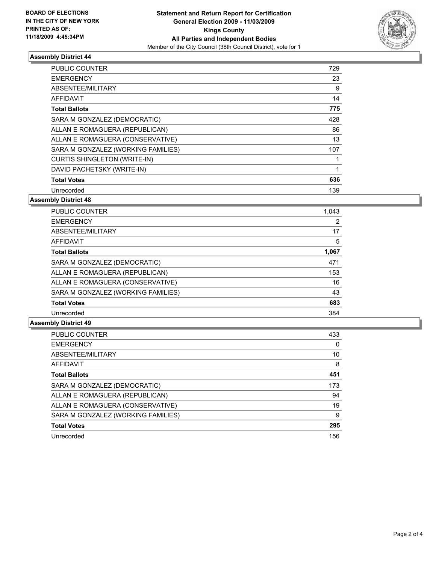

# **Assembly District 44**

| <b>PUBLIC COUNTER</b>               | 729 |
|-------------------------------------|-----|
| <b>EMERGENCY</b>                    | 23  |
| ABSENTEE/MILITARY                   | 9   |
| <b>AFFIDAVIT</b>                    | 14  |
| <b>Total Ballots</b>                | 775 |
| SARA M GONZALEZ (DEMOCRATIC)        | 428 |
| ALLAN E ROMAGUERA (REPUBLICAN)      | 86  |
| ALLAN E ROMAGUERA (CONSERVATIVE)    | 13  |
| SARA M GONZALEZ (WORKING FAMILIES)  | 107 |
| <b>CURTIS SHINGLETON (WRITE-IN)</b> |     |
| DAVID PACHETSKY (WRITE-IN)          | 1   |
| <b>Total Votes</b>                  | 636 |
| Unrecorded                          | 139 |

# **Assembly District 48**

| <b>PUBLIC COUNTER</b>              | 1,043 |
|------------------------------------|-------|
| <b>EMERGENCY</b>                   | 2     |
| ABSENTEE/MILITARY                  | 17    |
| <b>AFFIDAVIT</b>                   | 5     |
| <b>Total Ballots</b>               | 1,067 |
| SARA M GONZALEZ (DEMOCRATIC)       | 471   |
| ALLAN E ROMAGUERA (REPUBLICAN)     | 153   |
| ALLAN E ROMAGUERA (CONSERVATIVE)   | 16    |
| SARA M GONZALEZ (WORKING FAMILIES) | 43    |
| <b>Total Votes</b>                 | 683   |
| Unrecorded                         | 384   |

## **Assembly District 49**

| <b>PUBLIC COUNTER</b>              | 433 |
|------------------------------------|-----|
| <b>EMERGENCY</b>                   | 0   |
| ABSENTEE/MILITARY                  | 10  |
| <b>AFFIDAVIT</b>                   | 8   |
| <b>Total Ballots</b>               | 451 |
| SARA M GONZALEZ (DEMOCRATIC)       | 173 |
| ALLAN E ROMAGUERA (REPUBLICAN)     | 94  |
| ALLAN E ROMAGUERA (CONSERVATIVE)   | 19  |
| SARA M GONZALEZ (WORKING FAMILIES) | 9   |
| <b>Total Votes</b>                 | 295 |
| Unrecorded                         | 156 |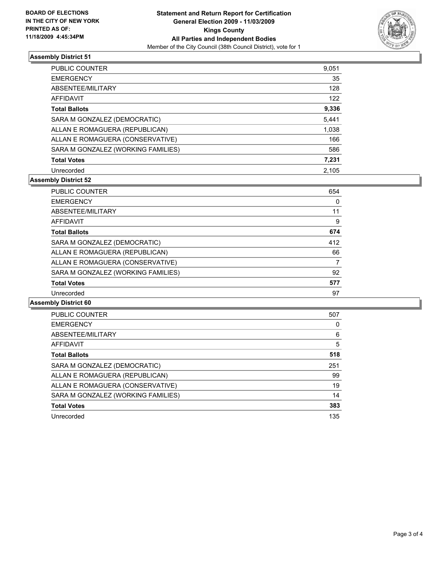

# **Assembly District 51**

| <b>PUBLIC COUNTER</b>              | 9,051 |
|------------------------------------|-------|
| <b>EMERGENCY</b>                   | 35    |
| ABSENTEE/MILITARY                  | 128   |
| AFFIDAVIT                          | 122   |
| <b>Total Ballots</b>               | 9,336 |
| SARA M GONZALEZ (DEMOCRATIC)       | 5,441 |
| ALLAN E ROMAGUERA (REPUBLICAN)     | 1,038 |
| ALLAN E ROMAGUERA (CONSERVATIVE)   | 166   |
| SARA M GONZALEZ (WORKING FAMILIES) | 586   |
| <b>Total Votes</b>                 | 7,231 |
| Unrecorded                         | 2.105 |

# **Assembly District 52**

| <b>PUBLIC COUNTER</b>              | 654 |
|------------------------------------|-----|
| <b>EMERGENCY</b>                   | 0   |
| ABSENTEE/MILITARY                  | 11  |
| <b>AFFIDAVIT</b>                   | 9   |
| <b>Total Ballots</b>               | 674 |
| SARA M GONZALEZ (DEMOCRATIC)       | 412 |
| ALLAN E ROMAGUERA (REPUBLICAN)     | 66  |
| ALLAN E ROMAGUERA (CONSERVATIVE)   | 7   |
| SARA M GONZALEZ (WORKING FAMILIES) | 92  |
| <b>Total Votes</b>                 | 577 |
| Unrecorded                         | 97  |

# **Assembly District 60**

| <b>PUBLIC COUNTER</b>              | 507 |
|------------------------------------|-----|
| <b>EMERGENCY</b>                   | 0   |
| ABSENTEE/MILITARY                  | 6   |
| AFFIDAVIT                          | 5   |
| <b>Total Ballots</b>               | 518 |
| SARA M GONZALEZ (DEMOCRATIC)       | 251 |
| ALLAN E ROMAGUERA (REPUBLICAN)     | 99  |
| ALLAN E ROMAGUERA (CONSERVATIVE)   | 19  |
| SARA M GONZALEZ (WORKING FAMILIES) | 14  |
| <b>Total Votes</b>                 | 383 |
| Unrecorded                         | 135 |